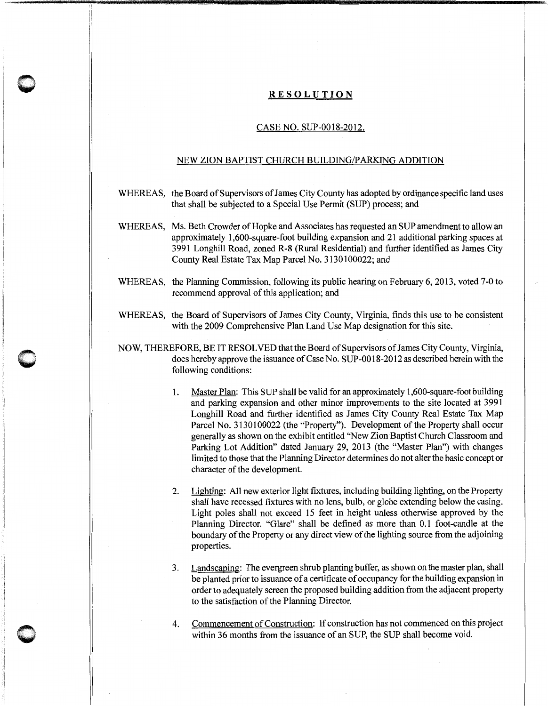## **RESOLUTION**

**0** 

**0** 

J

## CASE NO. SUP-0018-2012.

## NEW ZION BAPTIST CHURCH BUILDING/PARKING ADDITION

- WHEREAS, the Board of Supervisors of James City County has adopted by ordinance specific land uses that shall be subjected to a Special Use Permit (SUP) process; and
- WHEREAS, Ms. Beth Crowder of Hopke and Associates has requested an SUP amendment to allow an approximately 1,600-square-foot building expansion and 21 additional parking spaces at 3991 Longhill Road, zoned R-8 (Rural Residential) and further identified as James City County Real Estate Tax Map Parcel No. 3130100022; and
- WHEREAS, the Planning Commission, following its public hearing on February 6, 2013, voted 7-0 to recommend approval of this application; and
- WHEREAS, the Board of Supervisors of James City County, Virginia, finds this use to be consistent with the 2009 Comprehensive Plan Land Use Map designation for this site.
- NOW, THEREFORE, BE IT RESOLVED that the Board of Supervisors of James City County, Virginia, does hereby approve the issuance of Case No. SUP-00 18-2012 as described herein with the following conditions:
	- 1. Master Plan: This SUP shall be valid for an approximately 1,600-square-foot building and parking expansion and other minor improvements to the site located at 3991 Longhill Road and further identified as James City County Real Estate Tax Map Parcel No. 3130100022 (the "Property"). Development of the Property shall occur generally as shown on the exhibit entitled "New Zion Baptist Church Classroom and Parking Lot Addition" dated January 29, 2013 (the "Master Plan") with changes limited to those that the Planning Director determines do not alter the basic concept or character of the development.
	- 2. Lighting: All new exterior light fixtures, including building lighting, on the Property shall have recessed fixtures with no lens, bulb, or globe extending below the casing. Light poles shall not exceed 15 feet in height unless otherwise approved by the Planning Director. "Glare" shall be defined as more than 0.1 foot-candle at the boundary of the Property or any direct view of the lighting source from the adjoining properties.
	- 3. Landscaping: The evergreen shrub planting buffer, as shown on the master plan, shall be planted prior to issuance of a certificate of occupancy for the building expansion in order to adequately screen the proposed building addition from the adjacent property to the satisfaction of the Planning Director.
	- 4. Commencement of Construction: If construction has not commenced on this project within 36 months from the issuance of an SUP, the SUP shall become void.